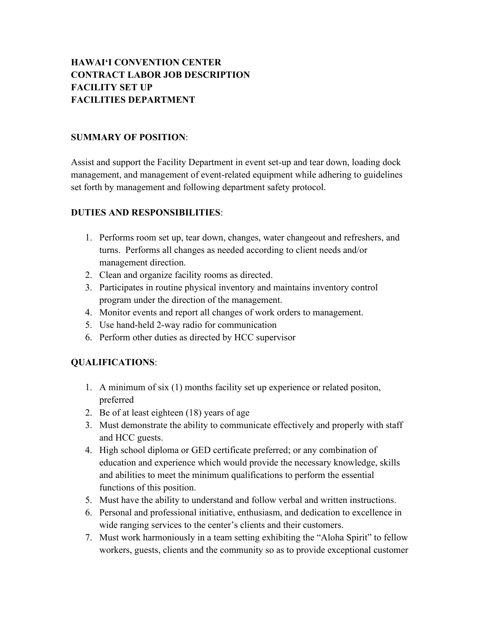# **HAWAI'I CONVENTION CENTER CONTRACT LABOR JOB DESCRIPTION FACILITY SET UP FACILITIES DEPARTMENT**

#### **SUMMARY OF POSITION**:

Assist and support the Facility Department in event set-up and tear down, loading dock management, and management of event-related equipment while adhering to guidelines set forth by management and following department safety protocol.

### **DUTIES AND RESPONSIBILITIES**:

- 1. Performs room set up, tear down, changes, water changeout and refreshers, and turns. Performs all changes as needed according to client needs and/or management direction.
- 2. Clean and organize facility rooms as directed.
- 3. Participates in routine physical inventory and maintains inventory control program under the direction of the management.
- 4. Monitor events and report all changes of work orders to management.
- 5. Use hand-held 2-way radio for communication
- 6. Perform other duties as directed by HCC supervisor

- 1. A minimum of six (1) months facility set up experience or related positon, preferred
- 2. Be of at least eighteen (18) years of age
- 3. Must demonstrate the ability to communicate effectively and properly with staff and HCC guests.
- 4. High school diploma or GED certificate preferred; or any combination of education and experience which would provide the necessary knowledge, skills and abilities to meet the minimum qualifications to perform the essential functions of this position.
- 5. Must have the ability to understand and follow verbal and written instructions.
- 6. Personal and professional initiative, enthusiasm, and dedication to excellence in wide ranging services to the center's clients and their customers.
- 7. Must work harmoniously in a team setting exhibiting the "Aloha Spirit" to fellow workers, guests, clients and the community so as to provide exceptional customer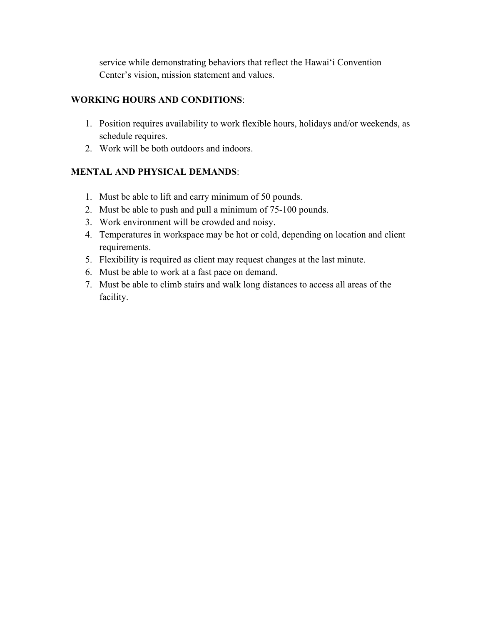service while demonstrating behaviors that reflect the Hawai'i Convention Center's vision, mission statement and values.

# **WORKING HOURS AND CONDITIONS**:

- 1. Position requires availability to work flexible hours, holidays and/or weekends, as schedule requires.
- 2. Work will be both outdoors and indoors.

- 1. Must be able to lift and carry minimum of 50 pounds.
- 2. Must be able to push and pull a minimum of 75-100 pounds.
- 3. Work environment will be crowded and noisy.
- 4. Temperatures in workspace may be hot or cold, depending on location and client requirements.
- 5. Flexibility is required as client may request changes at the last minute.
- 6. Must be able to work at a fast pace on demand.
- 7. Must be able to climb stairs and walk long distances to access all areas of the facility.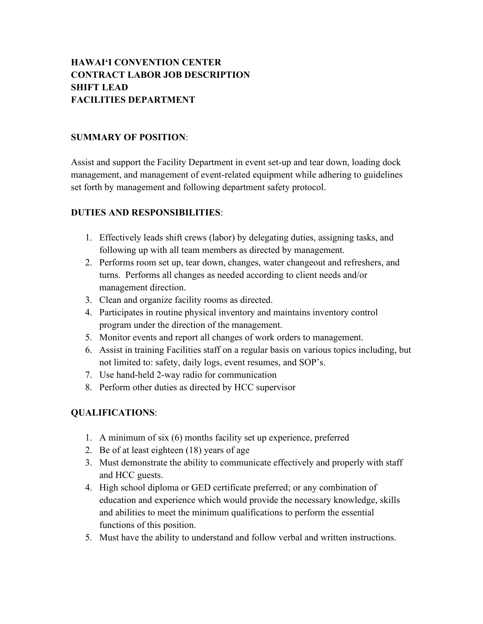# **HAWAI'I CONVENTION CENTER CONTRACT LABOR JOB DESCRIPTION SHIFT LEAD FACILITIES DEPARTMENT**

#### **SUMMARY OF POSITION**:

Assist and support the Facility Department in event set-up and tear down, loading dock management, and management of event-related equipment while adhering to guidelines set forth by management and following department safety protocol.

#### **DUTIES AND RESPONSIBILITIES**:

- 1. Effectively leads shift crews (labor) by delegating duties, assigning tasks, and following up with all team members as directed by management.
- 2. Performs room set up, tear down, changes, water changeout and refreshers, and turns. Performs all changes as needed according to client needs and/or management direction.
- 3. Clean and organize facility rooms as directed.
- 4. Participates in routine physical inventory and maintains inventory control program under the direction of the management.
- 5. Monitor events and report all changes of work orders to management.
- 6. Assist in training Facilities staff on a regular basis on various topics including, but not limited to: safety, daily logs, event resumes, and SOP's.
- 7. Use hand-held 2-way radio for communication
- 8. Perform other duties as directed by HCC supervisor

- 1. A minimum of six (6) months facility set up experience, preferred
- 2. Be of at least eighteen (18) years of age
- 3. Must demonstrate the ability to communicate effectively and properly with staff and HCC guests.
- 4. High school diploma or GED certificate preferred; or any combination of education and experience which would provide the necessary knowledge, skills and abilities to meet the minimum qualifications to perform the essential functions of this position.
- 5. Must have the ability to understand and follow verbal and written instructions.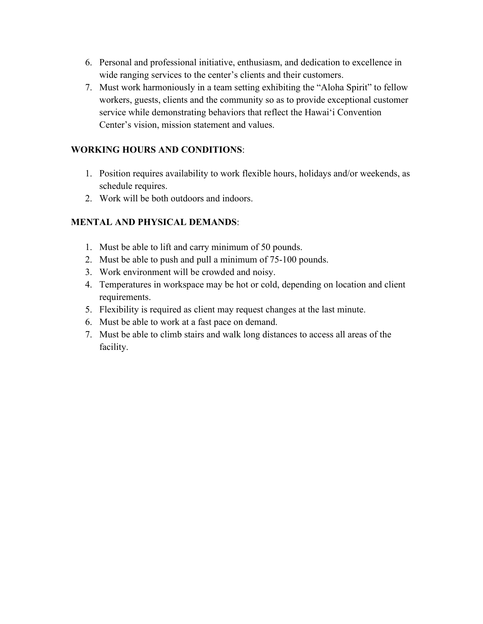- 6. Personal and professional initiative, enthusiasm, and dedication to excellence in wide ranging services to the center's clients and their customers.
- 7. Must work harmoniously in a team setting exhibiting the "Aloha Spirit" to fellow workers, guests, clients and the community so as to provide exceptional customer service while demonstrating behaviors that reflect the Hawai'i Convention Center's vision, mission statement and values.

- 1. Position requires availability to work flexible hours, holidays and/or weekends, as schedule requires.
- 2. Work will be both outdoors and indoors.

- 1. Must be able to lift and carry minimum of 50 pounds.
- 2. Must be able to push and pull a minimum of 75-100 pounds.
- 3. Work environment will be crowded and noisy.
- 4. Temperatures in workspace may be hot or cold, depending on location and client requirements.
- 5. Flexibility is required as client may request changes at the last minute.
- 6. Must be able to work at a fast pace on demand.
- 7. Must be able to climb stairs and walk long distances to access all areas of the facility.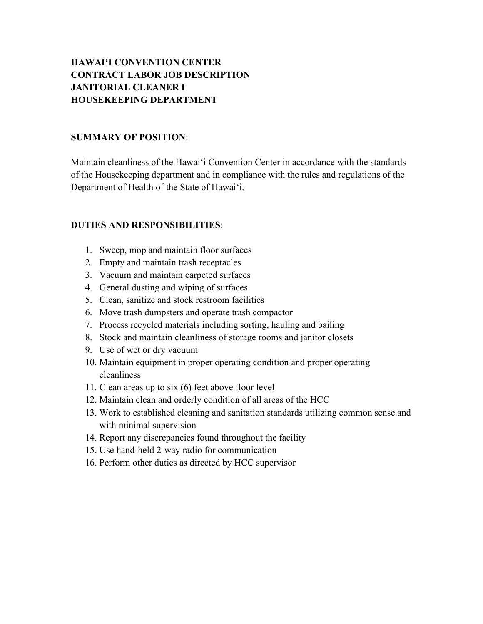# **HAWAI'I CONVENTION CENTER CONTRACT LABOR JOB DESCRIPTION JANITORIAL CLEANER I HOUSEKEEPING DEPARTMENT**

#### **SUMMARY OF POSITION**:

Maintain cleanliness of the Hawai'i Convention Center in accordance with the standards of the Housekeeping department and in compliance with the rules and regulations of the Department of Health of the State of Hawai'i.

#### **DUTIES AND RESPONSIBILITIES**:

- 1. Sweep, mop and maintain floor surfaces
- 2. Empty and maintain trash receptacles
- 3. Vacuum and maintain carpeted surfaces
- 4. General dusting and wiping of surfaces
- 5. Clean, sanitize and stock restroom facilities
- 6. Move trash dumpsters and operate trash compactor
- 7. Process recycled materials including sorting, hauling and bailing
- 8. Stock and maintain cleanliness of storage rooms and janitor closets
- 9. Use of wet or dry vacuum
- 10. Maintain equipment in proper operating condition and proper operating cleanliness
- 11. Clean areas up to six (6) feet above floor level
- 12. Maintain clean and orderly condition of all areas of the HCC
- 13. Work to established cleaning and sanitation standards utilizing common sense and with minimal supervision
- 14. Report any discrepancies found throughout the facility
- 15. Use hand-held 2-way radio for communication
- 16. Perform other duties as directed by HCC supervisor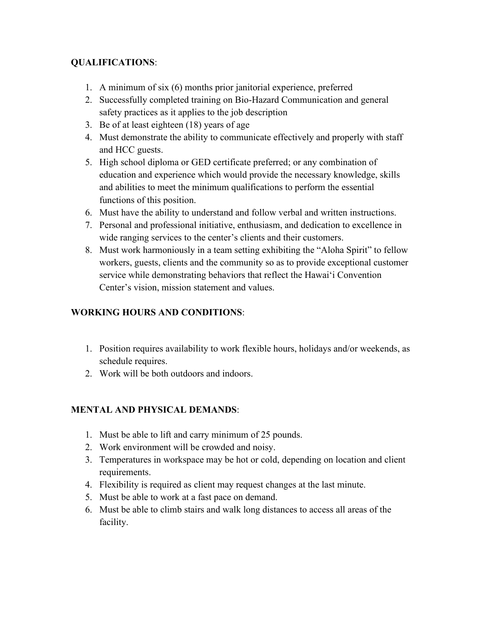# **QUALIFICATIONS**:

- 1. A minimum of six (6) months prior janitorial experience, preferred
- 2. Successfully completed training on Bio-Hazard Communication and general safety practices as it applies to the job description
- 3. Be of at least eighteen (18) years of age
- 4. Must demonstrate the ability to communicate effectively and properly with staff and HCC guests.
- 5. High school diploma or GED certificate preferred; or any combination of education and experience which would provide the necessary knowledge, skills and abilities to meet the minimum qualifications to perform the essential functions of this position.
- 6. Must have the ability to understand and follow verbal and written instructions.
- 7. Personal and professional initiative, enthusiasm, and dedication to excellence in wide ranging services to the center's clients and their customers.
- 8. Must work harmoniously in a team setting exhibiting the "Aloha Spirit" to fellow workers, guests, clients and the community so as to provide exceptional customer service while demonstrating behaviors that reflect the Hawai'i Convention Center's vision, mission statement and values.

# **WORKING HOURS AND CONDITIONS**:

- 1. Position requires availability to work flexible hours, holidays and/or weekends, as schedule requires.
- 2. Work will be both outdoors and indoors.

- 1. Must be able to lift and carry minimum of 25 pounds.
- 2. Work environment will be crowded and noisy.
- 3. Temperatures in workspace may be hot or cold, depending on location and client requirements.
- 4. Flexibility is required as client may request changes at the last minute.
- 5. Must be able to work at a fast pace on demand.
- 6. Must be able to climb stairs and walk long distances to access all areas of the facility.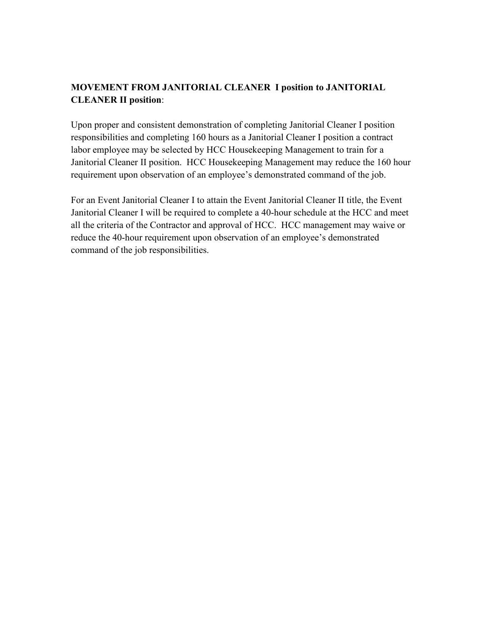# **MOVEMENT FROM JANITORIAL CLEANER I position to JANITORIAL CLEANER II position**:

Upon proper and consistent demonstration of completing Janitorial Cleaner I position responsibilities and completing 160 hours as a Janitorial Cleaner I position a contract labor employee may be selected by HCC Housekeeping Management to train for a Janitorial Cleaner II position. HCC Housekeeping Management may reduce the 160 hour requirement upon observation of an employee's demonstrated command of the job.

For an Event Janitorial Cleaner I to attain the Event Janitorial Cleaner II title, the Event Janitorial Cleaner I will be required to complete a 40-hour schedule at the HCC and meet all the criteria of the Contractor and approval of HCC. HCC management may waive or reduce the 40-hour requirement upon observation of an employee's demonstrated command of the job responsibilities.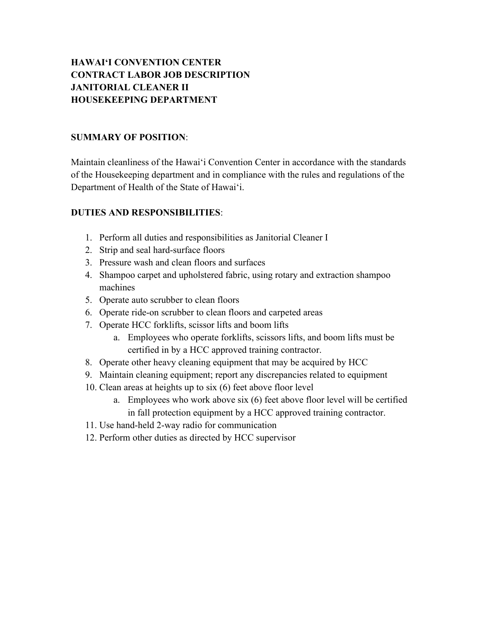# **HAWAI'I CONVENTION CENTER CONTRACT LABOR JOB DESCRIPTION JANITORIAL CLEANER II HOUSEKEEPING DEPARTMENT**

#### **SUMMARY OF POSITION**:

Maintain cleanliness of the Hawai'i Convention Center in accordance with the standards of the Housekeeping department and in compliance with the rules and regulations of the Department of Health of the State of Hawai'i.

### **DUTIES AND RESPONSIBILITIES**:

- 1. Perform all duties and responsibilities as Janitorial Cleaner I
- 2. Strip and seal hard-surface floors
- 3. Pressure wash and clean floors and surfaces
- 4. Shampoo carpet and upholstered fabric, using rotary and extraction shampoo machines
- 5. Operate auto scrubber to clean floors
- 6. Operate ride-on scrubber to clean floors and carpeted areas
- 7. Operate HCC forklifts, scissor lifts and boom lifts
	- a. Employees who operate forklifts, scissors lifts, and boom lifts must be certified in by a HCC approved training contractor.
- 8. Operate other heavy cleaning equipment that may be acquired by HCC
- 9. Maintain cleaning equipment; report any discrepancies related to equipment
- 10. Clean areas at heights up to six (6) feet above floor level
	- a. Employees who work above six (6) feet above floor level will be certified in fall protection equipment by a HCC approved training contractor.
- 11. Use hand-held 2-way radio for communication
- 12. Perform other duties as directed by HCC supervisor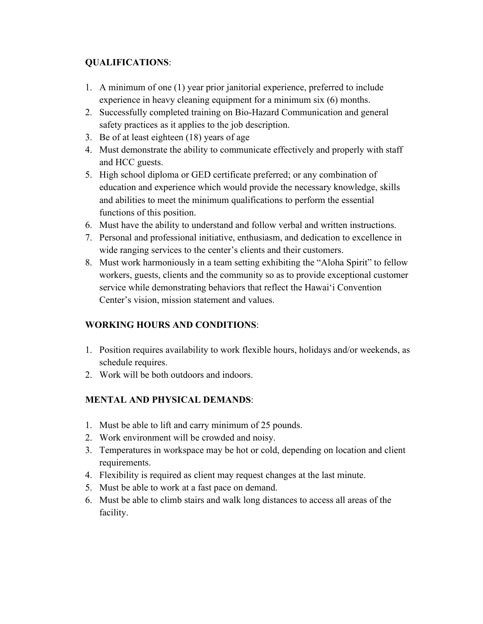### **QUALIFICATIONS**:

- 1. A minimum of one (1) year prior janitorial experience, preferred to include experience in heavy cleaning equipment for a minimum six (6) months.
- 2. Successfully completed training on Bio-Hazard Communication and general safety practices as it applies to the job description.
- 3. Be of at least eighteen (18) years of age
- 4. Must demonstrate the ability to communicate effectively and properly with staff and HCC guests.
- 5. High school diploma or GED certificate preferred; or any combination of education and experience which would provide the necessary knowledge, skills and abilities to meet the minimum qualifications to perform the essential functions of this position.
- 6. Must have the ability to understand and follow verbal and written instructions.
- 7. Personal and professional initiative, enthusiasm, and dedication to excellence in wide ranging services to the center's clients and their customers.
- 8. Must work harmoniously in a team setting exhibiting the "Aloha Spirit" to fellow workers, guests, clients and the community so as to provide exceptional customer service while demonstrating behaviors that reflect the Hawai'i Convention Center's vision, mission statement and values.

# **WORKING HOURS AND CONDITIONS**:

- 1. Position requires availability to work flexible hours, holidays and/or weekends, as schedule requires.
- 2. Work will be both outdoors and indoors.

- 1. Must be able to lift and carry minimum of 25 pounds.
- 2. Work environment will be crowded and noisy.
- 3. Temperatures in workspace may be hot or cold, depending on location and client requirements.
- 4. Flexibility is required as client may request changes at the last minute.
- 5. Must be able to work at a fast pace on demand.
- 6. Must be able to climb stairs and walk long distances to access all areas of the facility.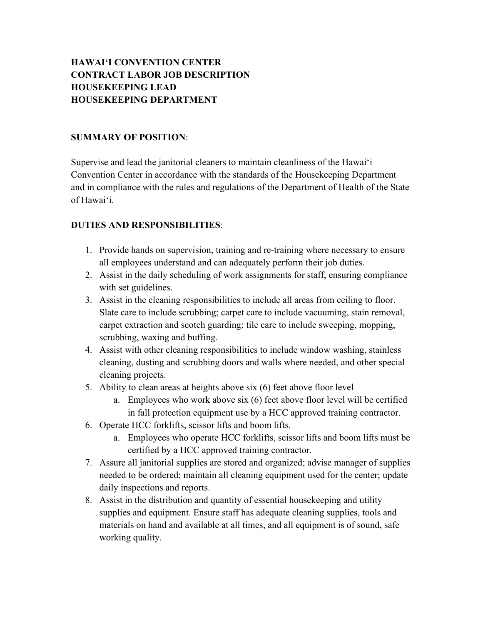# **HAWAI'I CONVENTION CENTER CONTRACT LABOR JOB DESCRIPTION HOUSEKEEPING LEAD HOUSEKEEPING DEPARTMENT**

#### **SUMMARY OF POSITION**:

Supervise and lead the janitorial cleaners to maintain cleanliness of the Hawai'i Convention Center in accordance with the standards of the Housekeeping Department and in compliance with the rules and regulations of the Department of Health of the State of Hawai'i.

### **DUTIES AND RESPONSIBILITIES**:

- 1. Provide hands on supervision, training and re-training where necessary to ensure all employees understand and can adequately perform their job duties.
- 2. Assist in the daily scheduling of work assignments for staff, ensuring compliance with set guidelines.
- 3. Assist in the cleaning responsibilities to include all areas from ceiling to floor. Slate care to include scrubbing; carpet care to include vacuuming, stain removal, carpet extraction and scotch guarding; tile care to include sweeping, mopping, scrubbing, waxing and buffing.
- 4. Assist with other cleaning responsibilities to include window washing, stainless cleaning, dusting and scrubbing doors and walls where needed, and other special cleaning projects.
- 5. Ability to clean areas at heights above six (6) feet above floor level
	- a. Employees who work above six (6) feet above floor level will be certified in fall protection equipment use by a HCC approved training contractor.
- 6. Operate HCC forklifts, scissor lifts and boom lifts.
	- a. Employees who operate HCC forklifts, scissor lifts and boom lifts must be certified by a HCC approved training contractor.
- 7. Assure all janitorial supplies are stored and organized; advise manager of supplies needed to be ordered; maintain all cleaning equipment used for the center; update daily inspections and reports.
- 8. Assist in the distribution and quantity of essential housekeeping and utility supplies and equipment. Ensure staff has adequate cleaning supplies, tools and materials on hand and available at all times, and all equipment is of sound, safe working quality.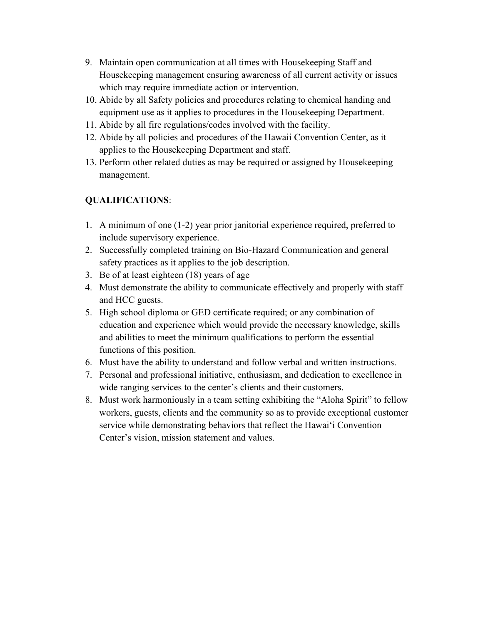- 9. Maintain open communication at all times with Housekeeping Staff and Housekeeping management ensuring awareness of all current activity or issues which may require immediate action or intervention.
- 10. Abide by all Safety policies and procedures relating to chemical handing and equipment use as it applies to procedures in the Housekeeping Department.
- 11. Abide by all fire regulations/codes involved with the facility.
- 12. Abide by all policies and procedures of the Hawaii Convention Center, as it applies to the Housekeeping Department and staff.
- 13. Perform other related duties as may be required or assigned by Housekeeping management.

- 1. A minimum of one (1-2) year prior janitorial experience required, preferred to include supervisory experience.
- 2. Successfully completed training on Bio-Hazard Communication and general safety practices as it applies to the job description.
- 3. Be of at least eighteen (18) years of age
- 4. Must demonstrate the ability to communicate effectively and properly with staff and HCC guests.
- 5. High school diploma or GED certificate required; or any combination of education and experience which would provide the necessary knowledge, skills and abilities to meet the minimum qualifications to perform the essential functions of this position.
- 6. Must have the ability to understand and follow verbal and written instructions.
- 7. Personal and professional initiative, enthusiasm, and dedication to excellence in wide ranging services to the center's clients and their customers.
- 8. Must work harmoniously in a team setting exhibiting the "Aloha Spirit" to fellow workers, guests, clients and the community so as to provide exceptional customer service while demonstrating behaviors that reflect the Hawai'i Convention Center's vision, mission statement and values.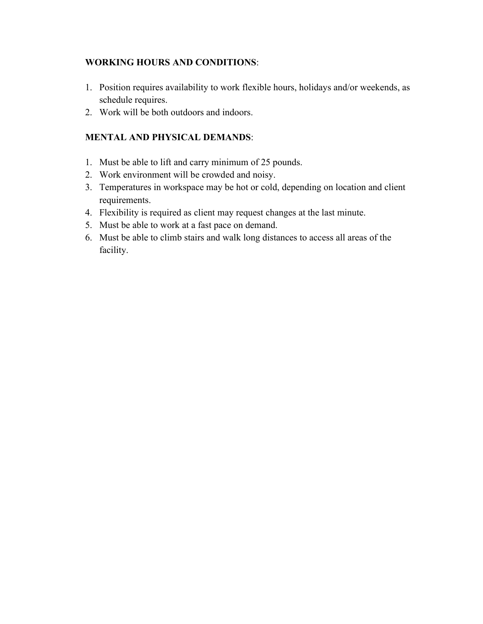- 1. Position requires availability to work flexible hours, holidays and/or weekends, as schedule requires.
- 2. Work will be both outdoors and indoors.

- 1. Must be able to lift and carry minimum of 25 pounds.
- 2. Work environment will be crowded and noisy.
- 3. Temperatures in workspace may be hot or cold, depending on location and client requirements.
- 4. Flexibility is required as client may request changes at the last minute.
- 5. Must be able to work at a fast pace on demand.
- 6. Must be able to climb stairs and walk long distances to access all areas of the facility.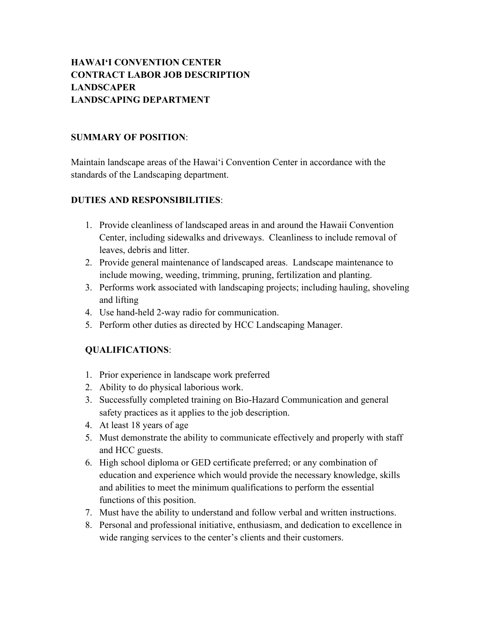# **HAWAI'I CONVENTION CENTER CONTRACT LABOR JOB DESCRIPTION LANDSCAPER LANDSCAPING DEPARTMENT**

#### **SUMMARY OF POSITION**:

Maintain landscape areas of the Hawai'i Convention Center in accordance with the standards of the Landscaping department.

### **DUTIES AND RESPONSIBILITIES**:

- 1. Provide cleanliness of landscaped areas in and around the Hawaii Convention Center, including sidewalks and driveways. Cleanliness to include removal of leaves, debris and litter.
- 2. Provide general maintenance of landscaped areas. Landscape maintenance to include mowing, weeding, trimming, pruning, fertilization and planting.
- 3. Performs work associated with landscaping projects; including hauling, shoveling and lifting
- 4. Use hand-held 2-way radio for communication.
- 5. Perform other duties as directed by HCC Landscaping Manager.

- 1. Prior experience in landscape work preferred
- 2. Ability to do physical laborious work.
- 3. Successfully completed training on Bio-Hazard Communication and general safety practices as it applies to the job description.
- 4. At least 18 years of age
- 5. Must demonstrate the ability to communicate effectively and properly with staff and HCC guests.
- 6. High school diploma or GED certificate preferred; or any combination of education and experience which would provide the necessary knowledge, skills and abilities to meet the minimum qualifications to perform the essential functions of this position.
- 7. Must have the ability to understand and follow verbal and written instructions.
- 8. Personal and professional initiative, enthusiasm, and dedication to excellence in wide ranging services to the center's clients and their customers.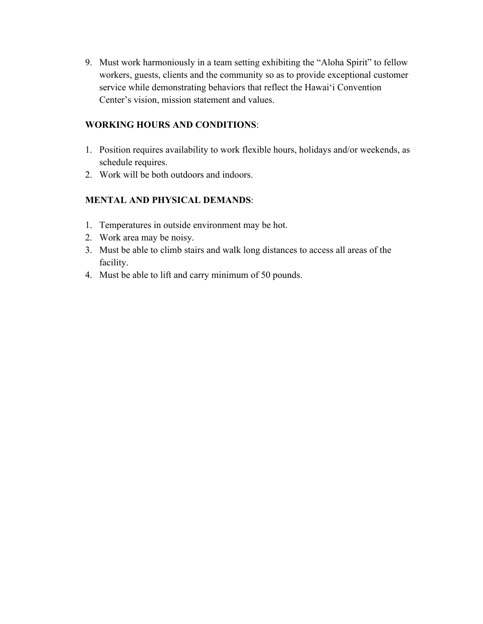9. Must work harmoniously in a team setting exhibiting the "Aloha Spirit" to fellow workers, guests, clients and the community so as to provide exceptional customer service while demonstrating behaviors that reflect the Hawai'i Convention Center's vision, mission statement and values.

#### **WORKING HOURS AND CONDITIONS**:

- 1. Position requires availability to work flexible hours, holidays and/or weekends, as schedule requires.
- 2. Work will be both outdoors and indoors.

- 1. Temperatures in outside environment may be hot.
- 2. Work area may be noisy.
- 3. Must be able to climb stairs and walk long distances to access all areas of the facility.
- 4. Must be able to lift and carry minimum of 50 pounds.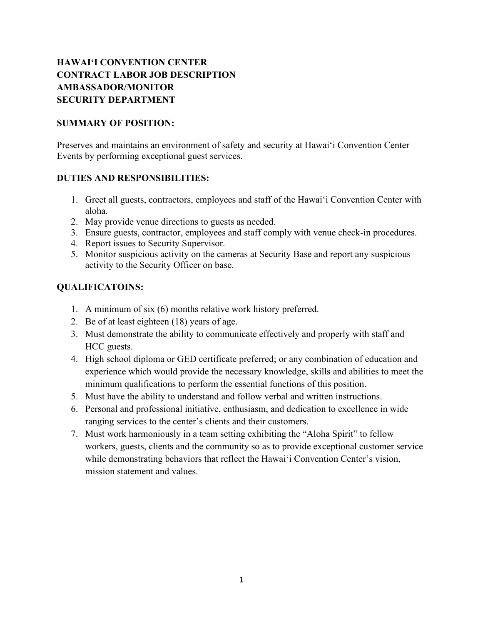# **HAWAI'I CONVENTION CENTER CONTRACT LABOR JOB DESCRIPTION AMBASSADOR/MONITOR SECURITY DEPARTMENT**

#### **SUMMARY OF POSITION:**

Preserves and maintains an environment of safety and security at Hawai'i Convention Center Events by performing exceptional guest services.

### **DUTIES AND RESPONSIBILITIES:**

- 1. Greet all guests, contractors, employees and staff of the Hawai'i Convention Center with aloha.
- 2. May provide venue directions to guests as needed.
- 3. Ensure guests, contractor, employees and staff comply with venue check-in procedures.
- 4. Report issues to Security Supervisor.
- 5. Monitor suspicious activity on the cameras at Security Base and report any suspicious activity to the Security Officer on base.

- 1. A minimum of six (6) months relative work history preferred.
- 2. Be of at least eighteen (18) years of age.
- 3. Must demonstrate the ability to communicate effectively and properly with staff and HCC guests.
- 4. High school diploma or GED certificate preferred; or any combination of education and experience which would provide the necessary knowledge, skills and abilities to meet the minimum qualifications to perform the essential functions of this position.
- 5. Must have the ability to understand and follow verbal and written instructions.
- 6. Personal and professional initiative, enthusiasm, and dedication to excellence in wide ranging services to the center's clients and their customers.
- 7. Must work harmoniously in a team setting exhibiting the "Aloha Spirit" to fellow workers, guests, clients and the community so as to provide exceptional customer service while demonstrating behaviors that reflect the Hawai'i Convention Center's vision, mission statement and values.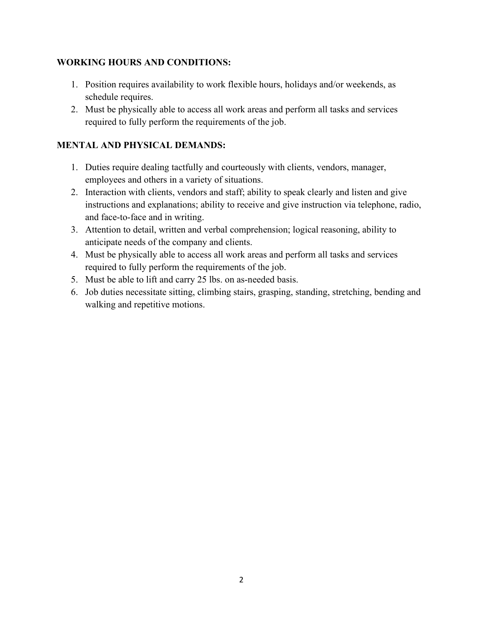- 1. Position requires availability to work flexible hours, holidays and/or weekends, as schedule requires.
- 2. Must be physically able to access all work areas and perform all tasks and services required to fully perform the requirements of the job.

- 1. Duties require dealing tactfully and courteously with clients, vendors, manager, employees and others in a variety of situations.
- 2. Interaction with clients, vendors and staff; ability to speak clearly and listen and give instructions and explanations; ability to receive and give instruction via telephone, radio, and face-to-face and in writing.
- 3. Attention to detail, written and verbal comprehension; logical reasoning, ability to anticipate needs of the company and clients.
- 4. Must be physically able to access all work areas and perform all tasks and services required to fully perform the requirements of the job.
- 5. Must be able to lift and carry 25 lbs. on as-needed basis.
- 6. Job duties necessitate sitting, climbing stairs, grasping, standing, stretching, bending and walking and repetitive motions.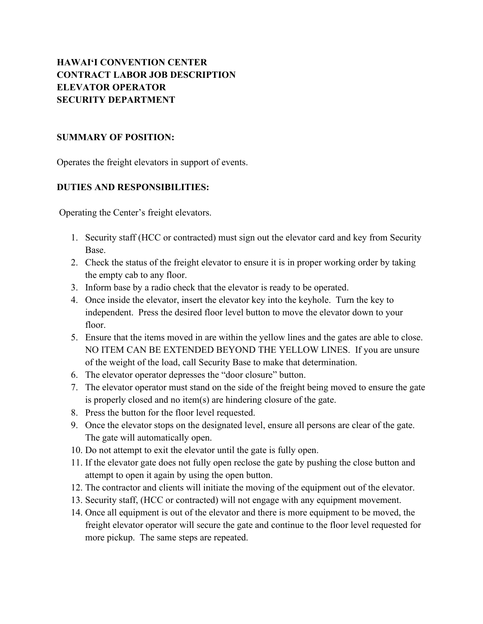# **HAWAI'I CONVENTION CENTER CONTRACT LABOR JOB DESCRIPTION ELEVATOR OPERATOR SECURITY DEPARTMENT**

#### **SUMMARY OF POSITION:**

Operates the freight elevators in support of events.

#### **DUTIES AND RESPONSIBILITIES:**

Operating the Center's freight elevators.

- 1. Security staff (HCC or contracted) must sign out the elevator card and key from Security Base.
- 2. Check the status of the freight elevator to ensure it is in proper working order by taking the empty cab to any floor.
- 3. Inform base by a radio check that the elevator is ready to be operated.
- 4. Once inside the elevator, insert the elevator key into the keyhole. Turn the key to independent. Press the desired floor level button to move the elevator down to your floor.
- 5. Ensure that the items moved in are within the yellow lines and the gates are able to close. NO ITEM CAN BE EXTENDED BEYOND THE YELLOW LINES. If you are unsure of the weight of the load, call Security Base to make that determination.
- 6. The elevator operator depresses the "door closure" button.
- 7. The elevator operator must stand on the side of the freight being moved to ensure the gate is properly closed and no item(s) are hindering closure of the gate.
- 8. Press the button for the floor level requested.
- 9. Once the elevator stops on the designated level, ensure all persons are clear of the gate. The gate will automatically open.
- 10. Do not attempt to exit the elevator until the gate is fully open.
- 11. If the elevator gate does not fully open reclose the gate by pushing the close button and attempt to open it again by using the open button.
- 12. The contractor and clients will initiate the moving of the equipment out of the elevator.
- 13. Security staff, (HCC or contracted) will not engage with any equipment movement.
- 14. Once all equipment is out of the elevator and there is more equipment to be moved, the freight elevator operator will secure the gate and continue to the floor level requested for more pickup. The same steps are repeated.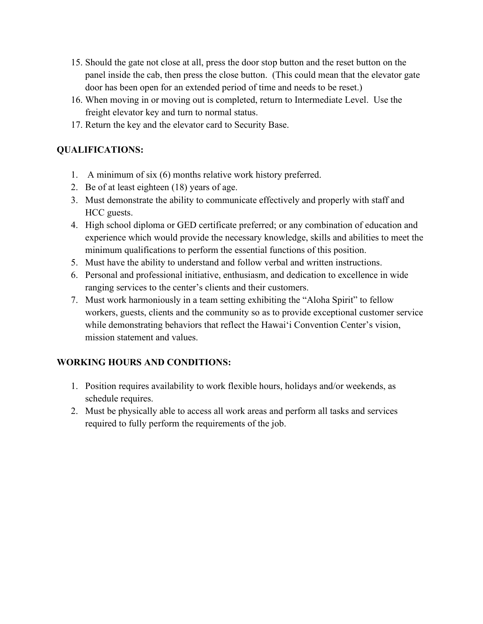- 15. Should the gate not close at all, press the door stop button and the reset button on the panel inside the cab, then press the close button. (This could mean that the elevator gate door has been open for an extended period of time and needs to be reset.)
- 16. When moving in or moving out is completed, return to Intermediate Level. Use the freight elevator key and turn to normal status.
- 17. Return the key and the elevator card to Security Base.

# **QUALIFICATIONS:**

- 1. A minimum of six (6) months relative work history preferred.
- 2. Be of at least eighteen (18) years of age.
- 3. Must demonstrate the ability to communicate effectively and properly with staff and HCC guests.
- 4. High school diploma or GED certificate preferred; or any combination of education and experience which would provide the necessary knowledge, skills and abilities to meet the minimum qualifications to perform the essential functions of this position.
- 5. Must have the ability to understand and follow verbal and written instructions.
- 6. Personal and professional initiative, enthusiasm, and dedication to excellence in wide ranging services to the center's clients and their customers.
- 7. Must work harmoniously in a team setting exhibiting the "Aloha Spirit" to fellow workers, guests, clients and the community so as to provide exceptional customer service while demonstrating behaviors that reflect the Hawai'i Convention Center's vision, mission statement and values.

# **WORKING HOURS AND CONDITIONS:**

- 1. Position requires availability to work flexible hours, holidays and/or weekends, as schedule requires.
- 2. Must be physically able to access all work areas and perform all tasks and services required to fully perform the requirements of the job.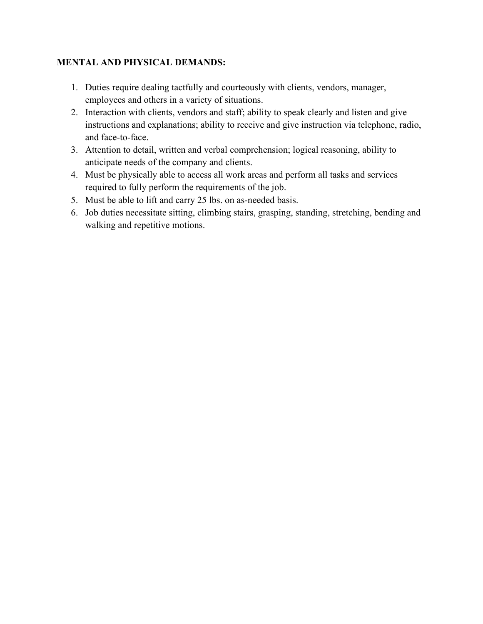- 1. Duties require dealing tactfully and courteously with clients, vendors, manager, employees and others in a variety of situations.
- 2. Interaction with clients, vendors and staff; ability to speak clearly and listen and give instructions and explanations; ability to receive and give instruction via telephone, radio, and face-to-face.
- 3. Attention to detail, written and verbal comprehension; logical reasoning, ability to anticipate needs of the company and clients.
- 4. Must be physically able to access all work areas and perform all tasks and services required to fully perform the requirements of the job.
- 5. Must be able to lift and carry 25 lbs. on as-needed basis.
- 6. Job duties necessitate sitting, climbing stairs, grasping, standing, stretching, bending and walking and repetitive motions.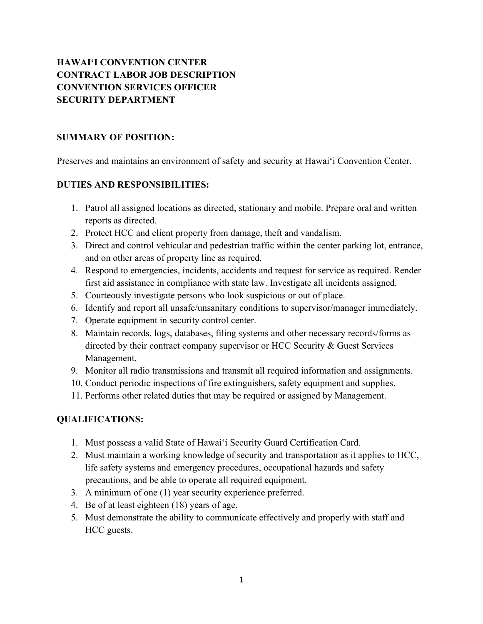# **HAWAI'I CONVENTION CENTER CONTRACT LABOR JOB DESCRIPTION CONVENTION SERVICES OFFICER SECURITY DEPARTMENT**

#### **SUMMARY OF POSITION:**

Preserves and maintains an environment of safety and security at Hawai'i Convention Center.

#### **DUTIES AND RESPONSIBILITIES:**

- 1. Patrol all assigned locations as directed, stationary and mobile. Prepare oral and written reports as directed.
- 2. Protect HCC and client property from damage, theft and vandalism.
- 3. Direct and control vehicular and pedestrian traffic within the center parking lot, entrance, and on other areas of property line as required.
- 4. Respond to emergencies, incidents, accidents and request for service as required. Render first aid assistance in compliance with state law. Investigate all incidents assigned.
- 5. Courteously investigate persons who look suspicious or out of place.
- 6. Identify and report all unsafe/unsanitary conditions to supervisor/manager immediately.
- 7. Operate equipment in security control center.
- 8. Maintain records, logs, databases, filing systems and other necessary records/forms as directed by their contract company supervisor or HCC Security & Guest Services Management.
- 9. Monitor all radio transmissions and transmit all required information and assignments.
- 10. Conduct periodic inspections of fire extinguishers, safety equipment and supplies.
- 11. Performs other related duties that may be required or assigned by Management.

- 1. Must possess a valid State of Hawai'i Security Guard Certification Card.
- 2. Must maintain a working knowledge of security and transportation as it applies to HCC, life safety systems and emergency procedures, occupational hazards and safety precautions, and be able to operate all required equipment.
- 3. A minimum of one (1) year security experience preferred.
- 4. Be of at least eighteen (18) years of age.
- 5. Must demonstrate the ability to communicate effectively and properly with staff and HCC guests.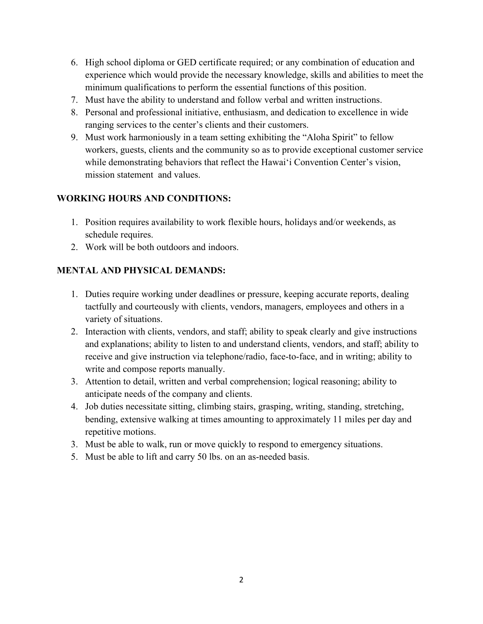- 6. High school diploma or GED certificate required; or any combination of education and experience which would provide the necessary knowledge, skills and abilities to meet the minimum qualifications to perform the essential functions of this position.
- 7. Must have the ability to understand and follow verbal and written instructions.
- 8. Personal and professional initiative, enthusiasm, and dedication to excellence in wide ranging services to the center's clients and their customers.
- 9. Must work harmoniously in a team setting exhibiting the "Aloha Spirit" to fellow workers, guests, clients and the community so as to provide exceptional customer service while demonstrating behaviors that reflect the Hawai'i Convention Center's vision, mission statement and values.

- 1. Position requires availability to work flexible hours, holidays and/or weekends, as schedule requires.
- 2. Work will be both outdoors and indoors.

- 1. Duties require working under deadlines or pressure, keeping accurate reports, dealing tactfully and courteously with clients, vendors, managers, employees and others in a variety of situations.
- 2. Interaction with clients, vendors, and staff; ability to speak clearly and give instructions and explanations; ability to listen to and understand clients, vendors, and staff; ability to receive and give instruction via telephone/radio, face-to-face, and in writing; ability to write and compose reports manually.
- 3. Attention to detail, written and verbal comprehension; logical reasoning; ability to anticipate needs of the company and clients.
- 4. Job duties necessitate sitting, climbing stairs, grasping, writing, standing, stretching, bending, extensive walking at times amounting to approximately 11 miles per day and repetitive motions.
- 3. Must be able to walk, run or move quickly to respond to emergency situations.
- 5. Must be able to lift and carry 50 lbs. on an as-needed basis.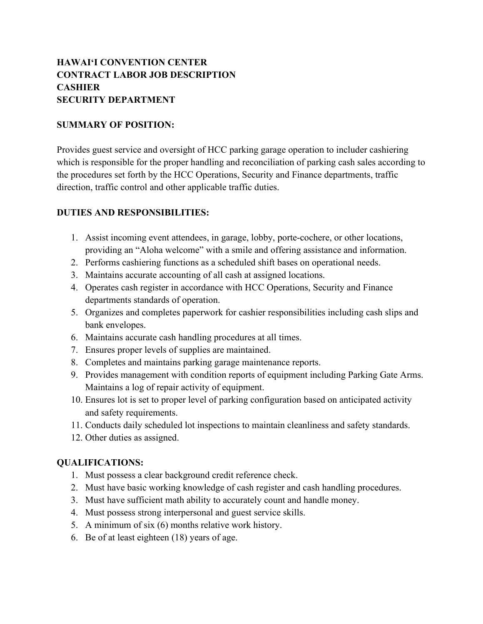# **HAWAI'I CONVENTION CENTER CONTRACT LABOR JOB DESCRIPTION CASHIER SECURITY DEPARTMENT**

#### **SUMMARY OF POSITION:**

Provides guest service and oversight of HCC parking garage operation to includer cashiering which is responsible for the proper handling and reconciliation of parking cash sales according to the procedures set forth by the HCC Operations, Security and Finance departments, traffic direction, traffic control and other applicable traffic duties.

### **DUTIES AND RESPONSIBILITIES:**

- 1. Assist incoming event attendees, in garage, lobby, porte-cochere, or other locations, providing an "Aloha welcome" with a smile and offering assistance and information.
- 2. Performs cashiering functions as a scheduled shift bases on operational needs.
- 3. Maintains accurate accounting of all cash at assigned locations.
- 4. Operates cash register in accordance with HCC Operations, Security and Finance departments standards of operation.
- 5. Organizes and completes paperwork for cashier responsibilities including cash slips and bank envelopes.
- 6. Maintains accurate cash handling procedures at all times.
- 7. Ensures proper levels of supplies are maintained.
- 8. Completes and maintains parking garage maintenance reports.
- 9. Provides management with condition reports of equipment including Parking Gate Arms. Maintains a log of repair activity of equipment.
- 10. Ensures lot is set to proper level of parking configuration based on anticipated activity and safety requirements.
- 11. Conducts daily scheduled lot inspections to maintain cleanliness and safety standards.
- 12. Other duties as assigned.

- 1. Must possess a clear background credit reference check.
- 2. Must have basic working knowledge of cash register and cash handling procedures.
- 3. Must have sufficient math ability to accurately count and handle money.
- 4. Must possess strong interpersonal and guest service skills.
- 5. A minimum of six (6) months relative work history.
- 6. Be of at least eighteen (18) years of age.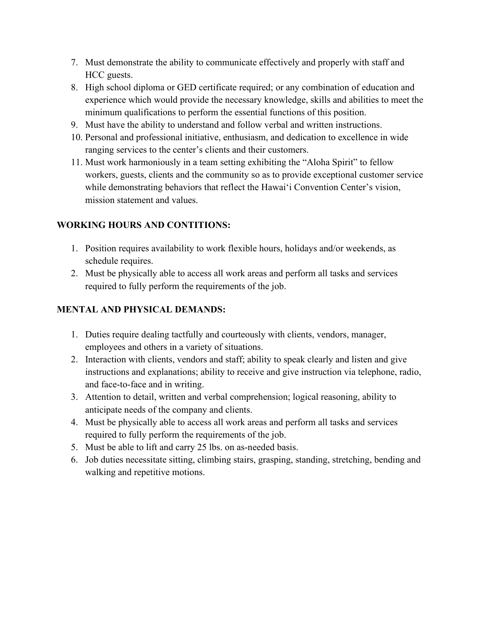- 7. Must demonstrate the ability to communicate effectively and properly with staff and HCC guests.
- 8. High school diploma or GED certificate required; or any combination of education and experience which would provide the necessary knowledge, skills and abilities to meet the minimum qualifications to perform the essential functions of this position.
- 9. Must have the ability to understand and follow verbal and written instructions.
- 10. Personal and professional initiative, enthusiasm, and dedication to excellence in wide ranging services to the center's clients and their customers.
- 11. Must work harmoniously in a team setting exhibiting the "Aloha Spirit" to fellow workers, guests, clients and the community so as to provide exceptional customer service while demonstrating behaviors that reflect the Hawai'i Convention Center's vision, mission statement and values.

- 1. Position requires availability to work flexible hours, holidays and/or weekends, as schedule requires.
- 2. Must be physically able to access all work areas and perform all tasks and services required to fully perform the requirements of the job.

- 1. Duties require dealing tactfully and courteously with clients, vendors, manager, employees and others in a variety of situations.
- 2. Interaction with clients, vendors and staff; ability to speak clearly and listen and give instructions and explanations; ability to receive and give instruction via telephone, radio, and face-to-face and in writing.
- 3. Attention to detail, written and verbal comprehension; logical reasoning, ability to anticipate needs of the company and clients.
- 4. Must be physically able to access all work areas and perform all tasks and services required to fully perform the requirements of the job.
- 5. Must be able to lift and carry 25 lbs. on as-needed basis.
- 6. Job duties necessitate sitting, climbing stairs, grasping, standing, stretching, bending and walking and repetitive motions.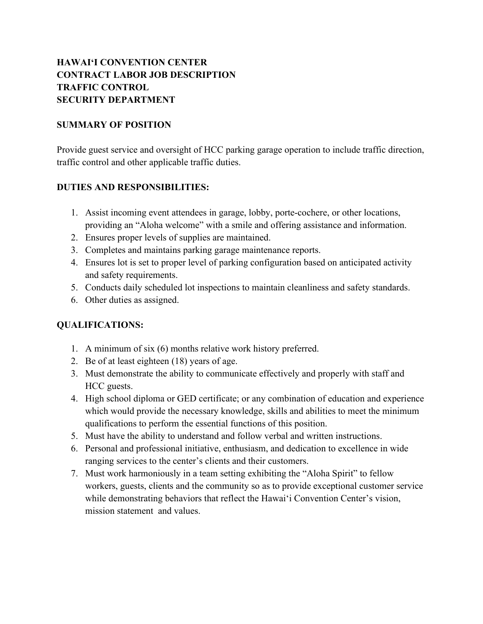# **HAWAI'I CONVENTION CENTER CONTRACT LABOR JOB DESCRIPTION TRAFFIC CONTROL SECURITY DEPARTMENT**

### **SUMMARY OF POSITION**

Provide guest service and oversight of HCC parking garage operation to include traffic direction, traffic control and other applicable traffic duties.

### **DUTIES AND RESPONSIBILITIES:**

- 1. Assist incoming event attendees in garage, lobby, porte-cochere, or other locations, providing an "Aloha welcome" with a smile and offering assistance and information.
- 2. Ensures proper levels of supplies are maintained.
- 3. Completes and maintains parking garage maintenance reports.
- 4. Ensures lot is set to proper level of parking configuration based on anticipated activity and safety requirements.
- 5. Conducts daily scheduled lot inspections to maintain cleanliness and safety standards.
- 6. Other duties as assigned.

- 1. A minimum of six (6) months relative work history preferred.
- 2. Be of at least eighteen (18) years of age.
- 3. Must demonstrate the ability to communicate effectively and properly with staff and HCC guests.
- 4. High school diploma or GED certificate; or any combination of education and experience which would provide the necessary knowledge, skills and abilities to meet the minimum qualifications to perform the essential functions of this position.
- 5. Must have the ability to understand and follow verbal and written instructions.
- 6. Personal and professional initiative, enthusiasm, and dedication to excellence in wide ranging services to the center's clients and their customers.
- 7. Must work harmoniously in a team setting exhibiting the "Aloha Spirit" to fellow workers, guests, clients and the community so as to provide exceptional customer service while demonstrating behaviors that reflect the Hawai'i Convention Center's vision, mission statement and values.